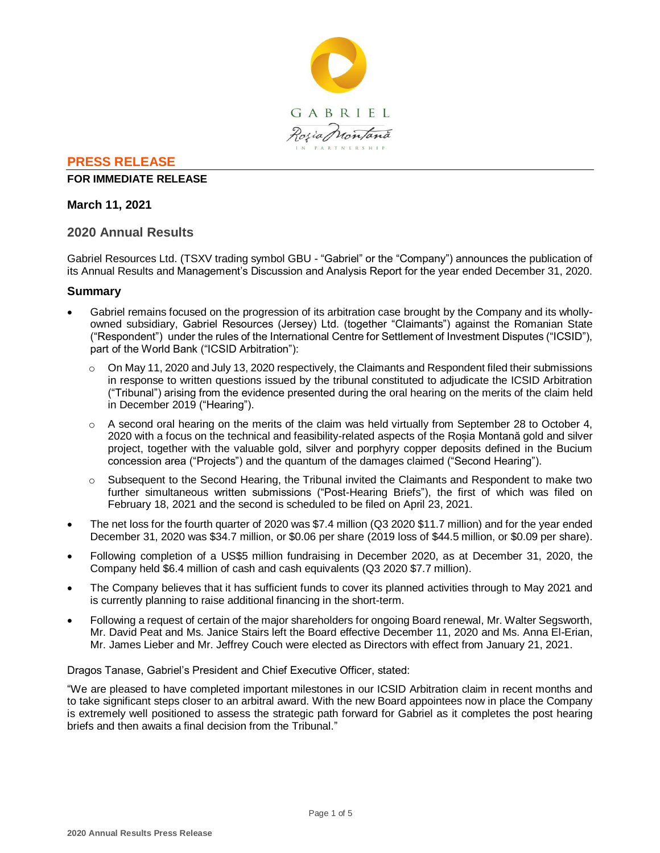

# **PRESS RELEASE**

#### **FOR IMMEDIATE RELEASE**

#### **March 11, 2021**

## **2020 Annual Results**

Gabriel Resources Ltd. (TSXV trading symbol GBU - "Gabriel" or the "Company") announces the publication of its Annual Results and Management's Discussion and Analysis Report for the year ended December 31, 2020.

#### **Summary**

- Gabriel remains focused on the progression of its arbitration case brought by the Company and its whollyowned subsidiary, Gabriel Resources (Jersey) Ltd. (together "Claimants") against the Romanian State ("Respondent") under the rules of the International Centre for Settlement of Investment Disputes ("ICSID"), part of the World Bank ("ICSID Arbitration"):
	- o On May 11, 2020 and July 13, 2020 respectively, the Claimants and Respondent filed their submissions in response to written questions issued by the tribunal constituted to adjudicate the ICSID Arbitration ("Tribunal") arising from the evidence presented during the oral hearing on the merits of the claim held in December 2019 ("Hearing").
	- $\circ$  A second oral hearing on the merits of the claim was held virtually from September 28 to October 4, 2020 with a focus on the technical and feasibility-related aspects of the Roșia Montană gold and silver project, together with the valuable gold, silver and porphyry copper deposits defined in the Bucium concession area ("Projects") and the quantum of the damages claimed ("Second Hearing").
	- o Subsequent to the Second Hearing, the Tribunal invited the Claimants and Respondent to make two further simultaneous written submissions ("Post-Hearing Briefs"), the first of which was filed on February 18, 2021 and the second is scheduled to be filed on April 23, 2021.
- The net loss for the fourth quarter of 2020 was \$7.4 million (Q3 2020 \$11.7 million) and for the year ended December 31, 2020 was \$34.7 million, or \$0.06 per share (2019 loss of \$44.5 million, or \$0.09 per share).
- Following completion of a US\$5 million fundraising in December 2020, as at December 31, 2020, the Company held \$6.4 million of cash and cash equivalents (Q3 2020 \$7.7 million).
- The Company believes that it has sufficient funds to cover its planned activities through to May 2021 and is currently planning to raise additional financing in the short-term.
- Following a request of certain of the major shareholders for ongoing Board renewal, Mr. Walter Segsworth, Mr. David Peat and Ms. Janice Stairs left the Board effective December 11, 2020 and Ms. Anna El-Erian, Mr. James Lieber and Mr. Jeffrey Couch were elected as Directors with effect from January 21, 2021.

Dragos Tanase, Gabriel's President and Chief Executive Officer, stated:

"We are pleased to have completed important milestones in our ICSID Arbitration claim in recent months and to take significant steps closer to an arbitral award. With the new Board appointees now in place the Company is extremely well positioned to assess the strategic path forward for Gabriel as it completes the post hearing briefs and then awaits a final decision from the Tribunal."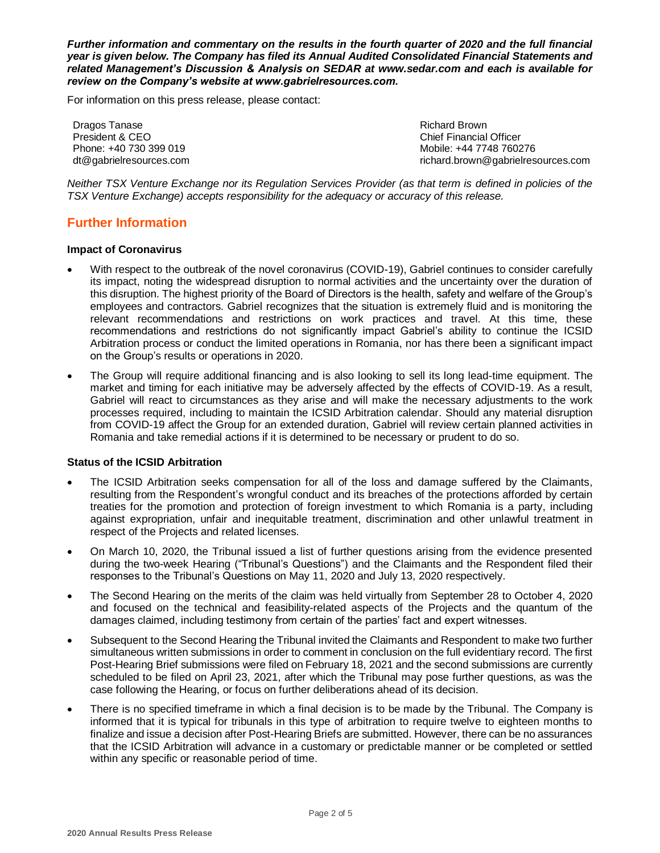*Further information and commentary on the results in the fourth quarter of 2020 and the full financial year is given below. The Company has filed its Annual Audited Consolidated Financial Statements and related Management's Discussion & Analysis on SEDAR at www.sedar.com and each is available for review on the Company's website at www.gabrielresources.com.* 

For information on this press release, please contact:

Dragos Tanase President & CEO Phone: +40 730 399 019 dt@gabrielresources.com Richard Brown Chief Financial Officer Mobile: +44 7748 760276 richard.brown@gabrielresources.com

*Neither TSX Venture Exchange nor its Regulation Services Provider (as that term is defined in policies of the TSX Venture Exchange) accepts responsibility for the adequacy or accuracy of this release.*

# **Further Information**

#### **Impact of Coronavirus**

- With respect to the outbreak of the novel coronavirus (COVID-19), Gabriel continues to consider carefully its impact, noting the widespread disruption to normal activities and the uncertainty over the duration of this disruption. The highest priority of the Board of Directors is the health, safety and welfare of the Group's employees and contractors. Gabriel recognizes that the situation is extremely fluid and is monitoring the relevant recommendations and restrictions on work practices and travel. At this time, these recommendations and restrictions do not significantly impact Gabriel's ability to continue the ICSID Arbitration process or conduct the limited operations in Romania, nor has there been a significant impact on the Group's results or operations in 2020.
- The Group will require additional financing and is also looking to sell its long lead-time equipment. The market and timing for each initiative may be adversely affected by the effects of COVID-19. As a result, Gabriel will react to circumstances as they arise and will make the necessary adjustments to the work processes required, including to maintain the ICSID Arbitration calendar. Should any material disruption from COVID-19 affect the Group for an extended duration, Gabriel will review certain planned activities in Romania and take remedial actions if it is determined to be necessary or prudent to do so.

#### **Status of the ICSID Arbitration**

- The ICSID Arbitration seeks compensation for all of the loss and damage suffered by the Claimants, resulting from the Respondent's wrongful conduct and its breaches of the protections afforded by certain treaties for the promotion and protection of foreign investment to which Romania is a party, including against expropriation, unfair and inequitable treatment, discrimination and other unlawful treatment in respect of the Projects and related licenses.
- On March 10, 2020, the Tribunal issued a list of further questions arising from the evidence presented during the two-week Hearing ("Tribunal's Questions") and the Claimants and the Respondent filed their responses to the Tribunal's Questions on May 11, 2020 and July 13, 2020 respectively.
- The Second Hearing on the merits of the claim was held virtually from September 28 to October 4, 2020 and focused on the technical and feasibility-related aspects of the Projects and the quantum of the damages claimed, including testimony from certain of the parties' fact and expert witnesses.
- Subsequent to the Second Hearing the Tribunal invited the Claimants and Respondent to make two further simultaneous written submissions in order to comment in conclusion on the full evidentiary record. The first Post-Hearing Brief submissions were filed on February 18, 2021 and the second submissions are currently scheduled to be filed on April 23, 2021, after which the Tribunal may pose further questions, as was the case following the Hearing, or focus on further deliberations ahead of its decision.
- There is no specified timeframe in which a final decision is to be made by the Tribunal. The Company is informed that it is typical for tribunals in this type of arbitration to require twelve to eighteen months to finalize and issue a decision after Post-Hearing Briefs are submitted. However, there can be no assurances that the ICSID Arbitration will advance in a customary or predictable manner or be completed or settled within any specific or reasonable period of time.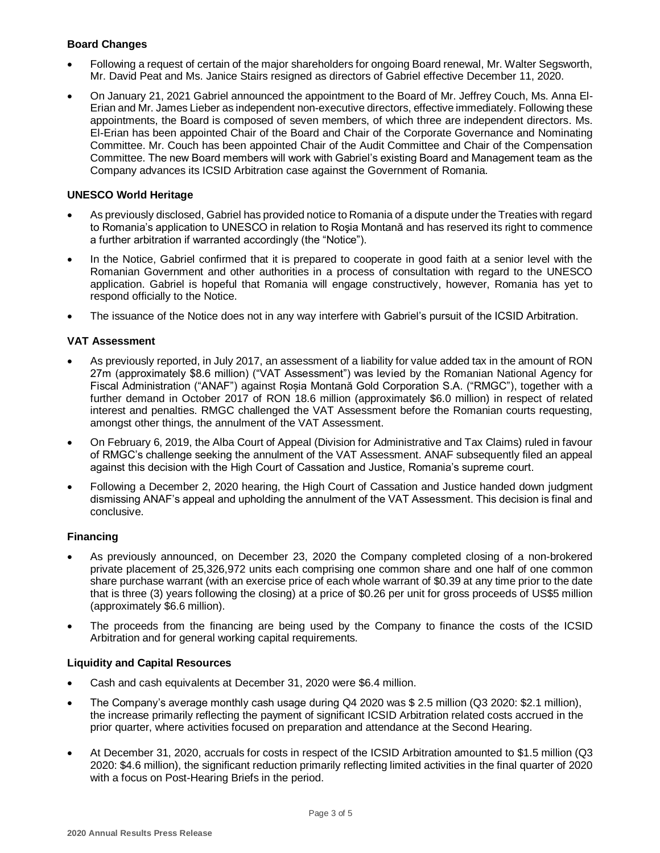## **Board Changes**

- Following a request of certain of the major shareholders for ongoing Board renewal, Mr. Walter Segsworth, Mr. David Peat and Ms. Janice Stairs resigned as directors of Gabriel effective December 11, 2020.
- On January 21, 2021 Gabriel announced the appointment to the Board of Mr. Jeffrey Couch, Ms. Anna El-Erian and Mr. James Lieber as independent non-executive directors, effective immediately. Following these appointments, the Board is composed of seven members, of which three are independent directors. Ms. El-Erian has been appointed Chair of the Board and Chair of the Corporate Governance and Nominating Committee. Mr. Couch has been appointed Chair of the Audit Committee and Chair of the Compensation Committee. The new Board members will work with Gabriel's existing Board and Management team as the Company advances its ICSID Arbitration case against the Government of Romania.

#### **UNESCO World Heritage**

- As previously disclosed, Gabriel has provided notice to Romania of a dispute under the Treaties with regard to Romania's application to UNESCO in relation to Roşia Montană and has reserved its right to commence a further arbitration if warranted accordingly (the "Notice").
- In the Notice, Gabriel confirmed that it is prepared to cooperate in good faith at a senior level with the Romanian Government and other authorities in a process of consultation with regard to the UNESCO application. Gabriel is hopeful that Romania will engage constructively, however, Romania has yet to respond officially to the Notice.
- The issuance of the Notice does not in any way interfere with Gabriel's pursuit of the ICSID Arbitration.

## **VAT Assessment**

- As previously reported, in July 2017, an assessment of a liability for value added tax in the amount of RON 27m (approximately \$8.6 million) ("VAT Assessment") was levied by the Romanian National Agency for Fiscal Administration ("ANAF") against Roșia Montană Gold Corporation S.A. ("RMGC"), together with a further demand in October 2017 of RON 18.6 million (approximately \$6.0 million) in respect of related interest and penalties. RMGC challenged the VAT Assessment before the Romanian courts requesting, amongst other things, the annulment of the VAT Assessment.
- On February 6, 2019, the Alba Court of Appeal (Division for Administrative and Tax Claims) ruled in favour of RMGC's challenge seeking the annulment of the VAT Assessment. ANAF subsequently filed an appeal against this decision with the High Court of Cassation and Justice, Romania's supreme court.
- Following a December 2, 2020 hearing, the High Court of Cassation and Justice handed down judgment dismissing ANAF's appeal and upholding the annulment of the VAT Assessment. This decision is final and conclusive.

#### **Financing**

- As previously announced, on December 23, 2020 the Company completed closing of a non-brokered private placement of 25,326,972 units each comprising one common share and one half of one common share purchase warrant (with an exercise price of each whole warrant of \$0.39 at any time prior to the date that is three (3) years following the closing) at a price of \$0.26 per unit for gross proceeds of US\$5 million (approximately \$6.6 million).
- The proceeds from the financing are being used by the Company to finance the costs of the ICSID Arbitration and for general working capital requirements.

#### **Liquidity and Capital Resources**

- Cash and cash equivalents at December 31, 2020 were \$6.4 million.
- The Company's average monthly cash usage during Q4 2020 was \$ 2.5 million (Q3 2020: \$2.1 million), the increase primarily reflecting the payment of significant ICSID Arbitration related costs accrued in the prior quarter, where activities focused on preparation and attendance at the Second Hearing.
- At December 31, 2020, accruals for costs in respect of the ICSID Arbitration amounted to \$1.5 million (Q3 2020: \$4.6 million), the significant reduction primarily reflecting limited activities in the final quarter of 2020 with a focus on Post-Hearing Briefs in the period.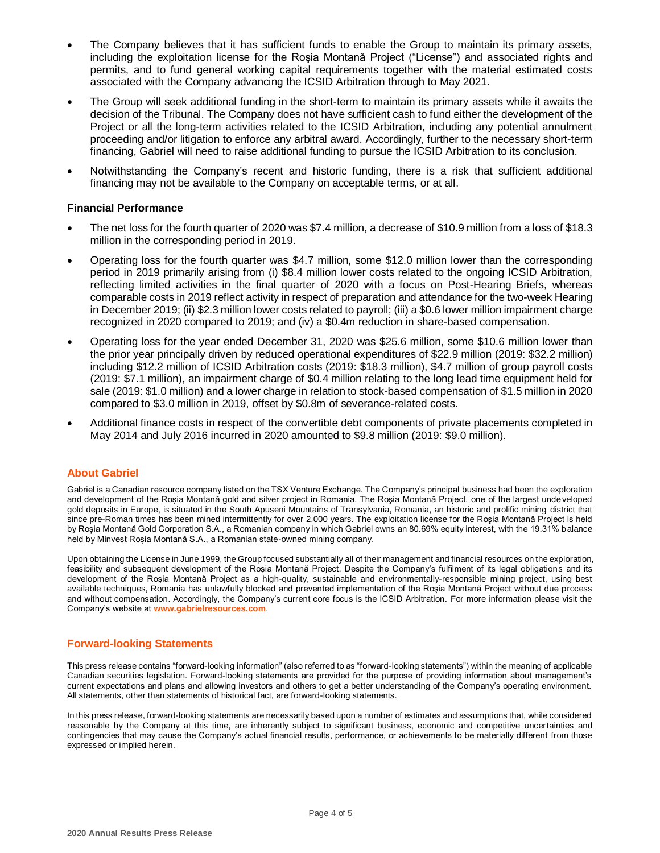- The Company believes that it has sufficient funds to enable the Group to maintain its primary assets, including the exploitation license for the Roşia Montană Project ("License") and associated rights and permits, and to fund general working capital requirements together with the material estimated costs associated with the Company advancing the ICSID Arbitration through to May 2021.
- The Group will seek additional funding in the short-term to maintain its primary assets while it awaits the decision of the Tribunal. The Company does not have sufficient cash to fund either the development of the Project or all the long-term activities related to the ICSID Arbitration, including any potential annulment proceeding and/or litigation to enforce any arbitral award. Accordingly, further to the necessary short-term financing, Gabriel will need to raise additional funding to pursue the ICSID Arbitration to its conclusion.
- Notwithstanding the Company's recent and historic funding, there is a risk that sufficient additional financing may not be available to the Company on acceptable terms, or at all.

#### **Financial Performance**

- The net loss for the fourth quarter of 2020 was \$7.4 million, a decrease of \$10.9 million from a loss of \$18.3 million in the corresponding period in 2019.
- Operating loss for the fourth quarter was \$4.7 million, some \$12.0 million lower than the corresponding period in 2019 primarily arising from (i) \$8.4 million lower costs related to the ongoing ICSID Arbitration, reflecting limited activities in the final quarter of 2020 with a focus on Post-Hearing Briefs, whereas comparable costs in 2019 reflect activity in respect of preparation and attendance for the two-week Hearing in December 2019; (ii) \$2.3 million lower costs related to payroll; (iii) a \$0.6 lower million impairment charge recognized in 2020 compared to 2019; and (iv) a \$0.4m reduction in share-based compensation.
- Operating loss for the year ended December 31, 2020 was \$25.6 million, some \$10.6 million lower than the prior year principally driven by reduced operational expenditures of \$22.9 million (2019: \$32.2 million) including \$12.2 million of ICSID Arbitration costs (2019: \$18.3 million), \$4.7 million of group payroll costs (2019: \$7.1 million), an impairment charge of \$0.4 million relating to the long lead time equipment held for sale (2019: \$1.0 million) and a lower charge in relation to stock-based compensation of \$1.5 million in 2020 compared to \$3.0 million in 2019, offset by \$0.8m of severance-related costs.
- Additional finance costs in respect of the convertible debt components of private placements completed in May 2014 and July 2016 incurred in 2020 amounted to \$9.8 million (2019: \$9.0 million).

#### **About Gabriel**

Gabriel is a Canadian resource company listed on the TSX Venture Exchange. The Company's principal business had been the exploration and development of the Roșia Montană gold and silver project in Romania. The Roşia Montană Project, one of the largest undeveloped gold deposits in Europe, is situated in the South Apuseni Mountains of Transylvania, Romania, an historic and prolific mining district that since pre-Roman times has been mined intermittently for over 2,000 years. The exploitation license for the Roşia Montană Project is held by Roșia Montană Gold Corporation S.A., a Romanian company in which Gabriel owns an 80.69% equity interest, with the 19.31% balance held by Minvest Roșia Montană S.A., a Romanian state-owned mining company.

Upon obtaining the License in June 1999, the Group focused substantially all of their management and financial resources on the exploration, feasibility and subsequent development of the Roşia Montană Project. Despite the Company's fulfilment of its legal obligations and its development of the Roşia Montană Project as a high-quality, sustainable and environmentally-responsible mining project, using best available techniques, Romania has unlawfully blocked and prevented implementation of the Roşia Montană Project without due process and without compensation. Accordingly, the Company's current core focus is the ICSID Arbitration. For more information please visit the Company's website at **www.gabrielresources.com**.

#### **Forward-looking Statements**

This press release contains "forward-looking information" (also referred to as "forward-looking statements") within the meaning of applicable Canadian securities legislation. Forward-looking statements are provided for the purpose of providing information about management's current expectations and plans and allowing investors and others to get a better understanding of the Company's operating environment. All statements, other than statements of historical fact, are forward-looking statements.

In this press release, forward-looking statements are necessarily based upon a number of estimates and assumptions that, while considered reasonable by the Company at this time, are inherently subject to significant business, economic and competitive uncertainties and contingencies that may cause the Company's actual financial results, performance, or achievements to be materially different from those expressed or implied herein.